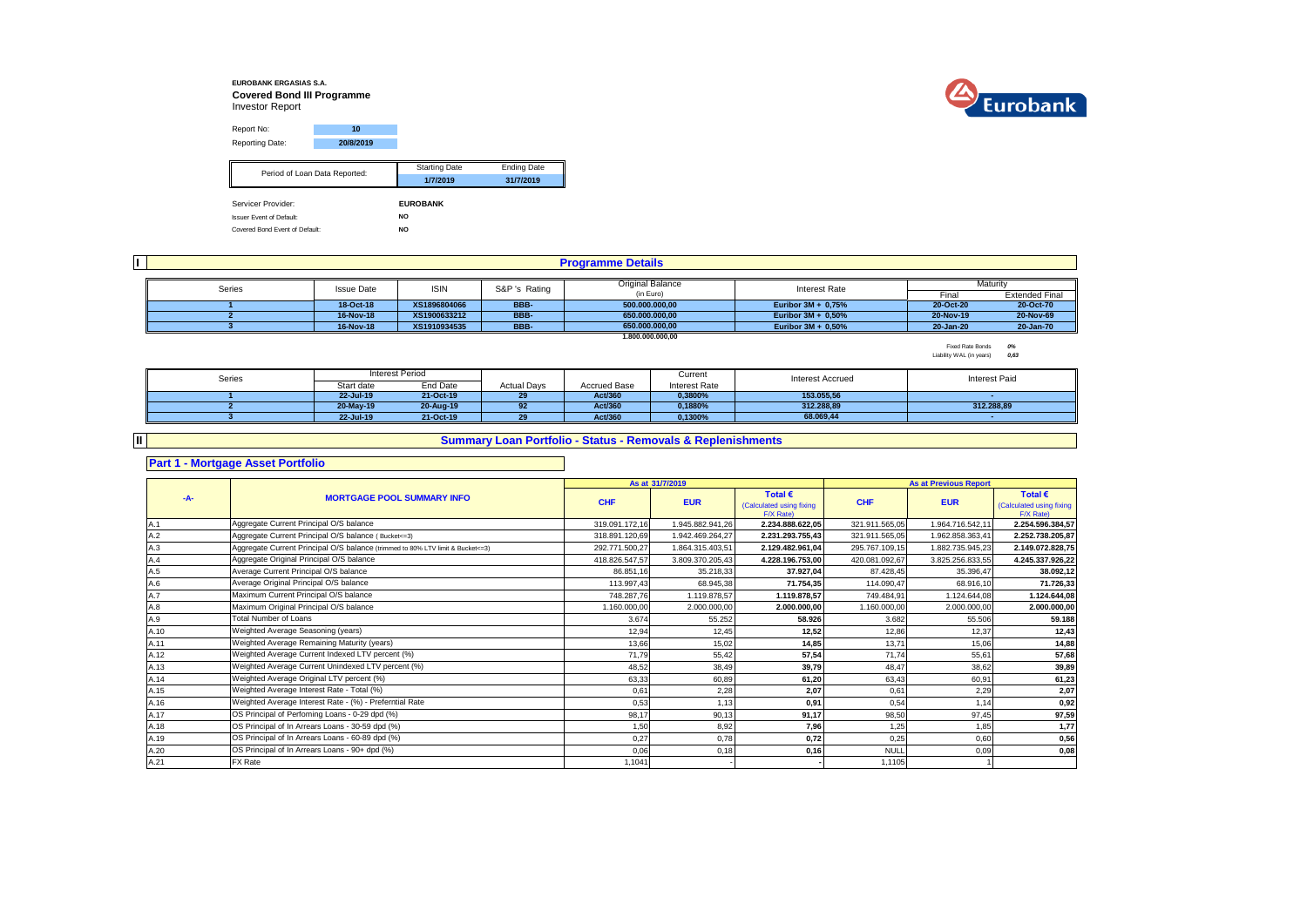### **EUROBANK ERGASIAS S.A. Covered Bond III Programme** Investor Report



Report No: **10** Reporting Date: **20/8/2019** Starting Date Ending Date **1/7/2019 31/7/2019** Servicer Provider: **EUROBANK** Issuer Event of Default: **NO** Period of Loan Data Reported:

Covered Bond Event of Default: **NO**

| II. |        |                   |              |               | <b>Programme Details</b> |                       |           |                       |
|-----|--------|-------------------|--------------|---------------|--------------------------|-----------------------|-----------|-----------------------|
|     |        |                   |              |               | Original Balance         |                       |           | Maturity              |
|     | Series | <b>Issue Date</b> | <b>ISIN</b>  | S&P 's Rating | (in Euro)                | Interest Rate         | Final     | <b>Extended Final</b> |
|     |        | 18-Oct-18         | XS1896804066 | <b>BBB</b>    | 500.000.000,00           | Euribor 3M + 0,75%    | 20-Oct-20 | 20-Oct-70             |
|     |        | 16-Nov-18         | XS1900633212 | BBB-          | 650.000.000.00           | Euribor 3M + 0,50%    | 20-Nov-19 | 20-Nov-69             |
|     |        | 16-Nov-18         | XS1910934535 | BBB-          | 650.000.000.00           | Euribor $3M + 0.50\%$ | 20-Jan-20 | 20-Jan-70             |
|     |        |                   |              |               | 1,800,000,000,00         |                       |           |                       |

Fixed Rate Bonds *0%* Liability WAL (in years) *0,63*

| Series |            | Interest Period |                    |                     | Current       | <b>Interest Accrued</b> | <b>Interest Paid</b> |
|--------|------------|-----------------|--------------------|---------------------|---------------|-------------------------|----------------------|
|        | Start date | End Date        | <b>Actual Days</b> | <b>Accrued Base</b> | Interest Rate |                         |                      |
|        | 22-Jul-19  | 21-Oct-19       | 29                 | Act/360             | 0.3800%       | 153.055.56              |                      |
|        | 20-May-19  | 20-Aug-19       | 92                 | Act/360             | 0.1880%       | 312.288.89              | 312.288.89           |
|        | 22-Jul-19  | 21-Oct-19       | 29                 | Act/360             | 0.1300%       | 68.069.44               |                      |

## **Summary Loan Portfolio - Status - Removals & Replenishments**

## **Part 1 - Mortgage Asset Portfolio**

**II**

#### **As at Total € Total €**  (Calculated using fixing **CHF EUR CHF EUR** F/X Rate)<br>2.234.888.622.05 Calculated using fixing  $F/X$  Rate)<br>2.254.596.384.57 A.1 319.091.172,16 1.945.882.941,26 **2.234.888.622,05** 321.911.565,05 1.964.716.542,11 **2.254.596.384,57** Aggregate Current Principal O/S balance A.2 318.891.120,69 1.942.469.264,27 **2.231.293.755,43** 321.911.565,05 1.962.858.363,41 **2.252.738.205,87** Aggregate Current Principal O/S balance ( Bucket<=3) A.3 **292.771.500,27** 1.864.315.403,51 **2.129.482.961,04** 295.767.109,15 1.882.755.945,23 **2.149.072.828,75** 2.149.072.828,75 A.4 418.826.547,57 3.809.370.205,43 **4.228.196.753,00** 420.081.092,67 3.825.256.833,55 **4.245.337.926,22** Aggregate Original Principal O/S balance A.5 86.851,16 35.218,33 **37.927,04** 87.428,45 35.396,47 **38.092,12** A.6 113.997,43 68.945,38 **71.754,35** 114.090,47 68.916,10 **71.726,33** Average Original Principal O/S balance A.7 748.287,76 1.119.878,57 **1.119.878,57** 749.484,91 1.124.644,08 **1.124.644,08** Maximum Current Principal O/S balance A.8 1.160.000,00 2.000.000,00 **2.000.000,00** 1.160.000,00 2.000.000,00 **2.000.000,00** Maximum Original Principal O/S balance A.9 3.674 55.252 **58.926** 3.682 55.506 **59.188** A.10 12,94 12,45 **12,52** 12,86 12,37 **12,43** Weighted Average Seasoning (years) A.11 13,66 15,02 **14,85** 13,71 15,06 **14,88** Weighted Average Remaining Maturity (years) A.12 71,79 55,42 **57,54** 71,74 55,61 **57,68** Weighted Average Current Indexed LTV percent (%) A.13 48,52 38,49 **39,79** 48,47 38,62 **39,89** Weighted Average Current Unindexed LTV percent (%) A.14 63,33 60,89 **61,20** 63,43 60,91 **61,23** Weighted Average Original LTV percent (%) A.15 0,61 2,28 **2,07** 0,61 2,29 **2,07** Weighted Average Interest Rate - Total (%) A.16 0,53 1,13 **0,91** 0,54 1,14 **0,92** Weighted Average Interest Rate - (%) - Preferntial Rate A.17 98,17 90,13 **91,17** 98,50 97,45 **97,59** OS Principal of Perfoming Loans - 0-29 dpd (%) A.18 1,50 8,92 **7,96** 1,25 1,85 **1,77** OS Principal of In Arrears Loans - 30-59 dpd (%) A.19 0,27 0,78 **0,72** 0,25 0,60 **0,56** OS Principal of In Arrears Loans - 60-89 dpd (%) A.20 0,06 0,18 **0,16** NULL 0,09 **0,08** OS Principal of In Arrears Loans - 90+ dpd (%) A.21 1,1041 - **-** 1,1105 1 FX Rate Total Number of Loans **Average Current Principal O/S balance -A- MORTGAGE POOL SUMMARY INFO As at Previous Report**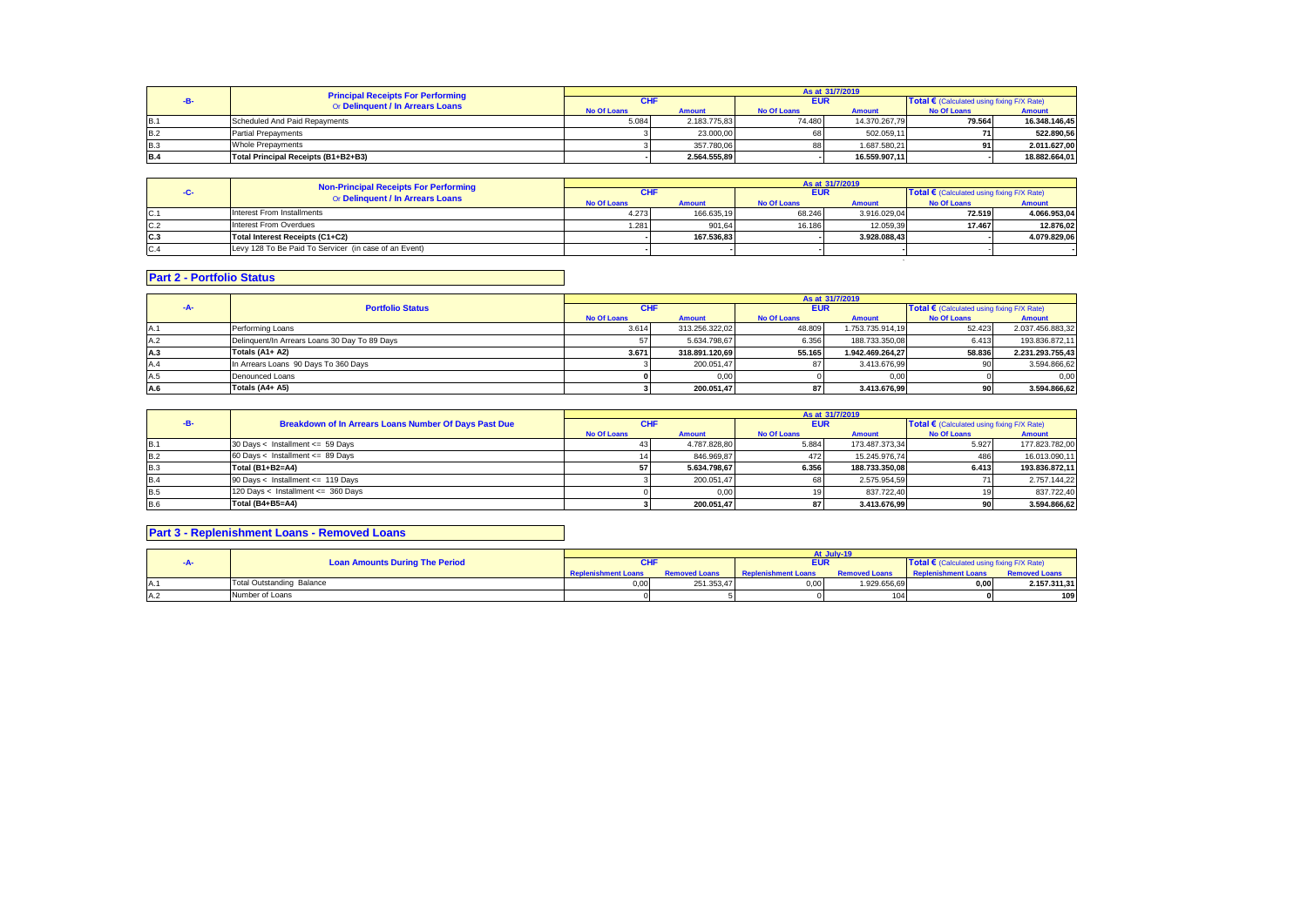| <b>Principal Receipts For Performing</b><br>Or Delinquent / In Arrears Loans |                                     |                    |               |                    | As at 31/7/2019 |                                                     |               |
|------------------------------------------------------------------------------|-------------------------------------|--------------------|---------------|--------------------|-----------------|-----------------------------------------------------|---------------|
|                                                                              |                                     | СHI                |               | <b>EUR</b>         |                 | Total $\epsilon$ (Calculated using fixing F/X Rate) |               |
|                                                                              |                                     | <b>No Of Loans</b> | <b>Amount</b> | <b>No Of Loans</b> | <b>Amount</b>   | <b>No Of Loans</b>                                  | <b>Amount</b> |
| <b>B.1</b>                                                                   | Scheduled And Paid Repayments       | 5.084              | 2.183.775.83  | 74.480             | 14.370.267.79   | 79.564                                              | 16.348.146.45 |
| <b>B.2</b>                                                                   | <b>Partial Prepayments</b>          |                    | 23,000.00     | 68                 | 502.059.11      |                                                     | 522.890.56    |
| <b>B.3</b>                                                                   | <b>Whole Prepayments</b>            |                    | 357,780.06    | 88                 | 1.687.580.21    | n.                                                  | 2.011.627,00  |
| <b>B.4</b>                                                                   | Total Principal Receipts (B1+B2+B3) |                    | 2.564.555.89  |                    | 16.559.907.11   |                                                     | 18.882.664.01 |

|     | <b>Non-Principal Receipts For Performing</b>          |                    |               |                    | As at 31/7/2019 |                                            |               |
|-----|-------------------------------------------------------|--------------------|---------------|--------------------|-----------------|--------------------------------------------|---------------|
|     | Or Delinquent / In Arrears Loans                      | CHI                |               | <b>EUR</b>         |                 | Total € (Calculated using fixing F/X Rate) |               |
|     |                                                       | <b>No Of Loans</b> | <b>Amount</b> | <b>No Of Loans</b> | <b>Amount</b>   | <b>No Of Loans</b>                         | <b>Amount</b> |
| C.1 | Interest From Installments                            | 4.273              | 166.635,19    | 68.246             | 3.916.029.04    | 72.519                                     | 4.066.953,04  |
| C.2 | Interest From Overdues                                | 1.281              | 901.64        | 16.186             | 12.059.39       | 17.467                                     | 12.876.02     |
| C.3 | Total Interest Receipts (C1+C2)                       |                    | 167.536.83    |                    | 3.928.088.43    |                                            | 4.079.829.06  |
| C.4 | Levy 128 To Be Paid To Servicer (in case of an Event) |                    |               |                    |                 |                                            |               |

# **Part 2 - Portfolio Status**

|     |                                               | As at 31/7/2019    |                |                    |                  |                                            |                  |  |
|-----|-----------------------------------------------|--------------------|----------------|--------------------|------------------|--------------------------------------------|------------------|--|
| -A- | <b>Portfolio Status</b>                       | <b>CHF</b>         |                | <b>EUR</b>         |                  | Total € (Calculated using fixing F/X Rate) |                  |  |
|     |                                               | <b>No Of Loans</b> | <b>Amount</b>  | <b>No Of Loans</b> | <b>Amount</b>    | <b>No Of Loans</b>                         | <b>Amount</b>    |  |
|     | Performing Loans                              | 3.614              | 313.256.322.02 | 48.809             | 1.753.735.914.19 | 52.423                                     | 2.037.456.883,32 |  |
| A.2 | Delinquent/In Arrears Loans 30 Day To 89 Days |                    | 5.634.798.67   | 6.356              | 188.733.350.08   | 6.413                                      | 193.836.872,11   |  |
| A.3 | Totals (A1+ A2)                               | 3.671              | 318.891.120.69 | 55.165             | 1.942.469.264.27 | 58.836                                     | 2.231.293.755.43 |  |
| A.4 | In Arrears Loans 90 Days To 360 Days          |                    | 200.051.47     |                    | 3.413.676.99     | 90                                         | 3.594.866.62     |  |
| A.5 | Denounced Loans                               |                    | 0,00           |                    | 0,00             |                                            | 0.00             |  |
| A.6 | Totals (A4+ A5)                               |                    | 200.051.47     |                    | 3.413.676.99     | 90 I                                       | 3.594.866,62     |  |

|            |                                                       |                    |               |                    | As at 31/7/2019 |                                                     |                |
|------------|-------------------------------------------------------|--------------------|---------------|--------------------|-----------------|-----------------------------------------------------|----------------|
|            | Breakdown of In Arrears Loans Number Of Days Past Due | <b>CHF</b>         |               | <b>EUR</b>         |                 | Total $\epsilon$ (Calculated using fixing F/X Rate) |                |
|            |                                                       | <b>No Of Loans</b> | <b>Amount</b> | <b>No Of Loans</b> | <b>Amount</b>   | <b>No Of Loans</b>                                  | <b>Amount</b>  |
| <b>B.1</b> | 30 Days < Installment <= 59 Days                      |                    | 4.787.828.80  | 5.884              | 173.487.373,34  | 5.927                                               | 177.823.782,00 |
| B.2        | 60 Days < Installment <= 89 Days                      |                    | 846.969.87    | 472                | 15.245.976.74   | 486                                                 | 16.013.090,11  |
| <b>B.3</b> | Total (B1+B2=A4)                                      |                    | 5.634.798.67  | 6.356              | 188.733.350.08  | 6.413                                               | 193.836.872,11 |
| <b>B.4</b> | 90 Days < Installment <= 119 Days                     |                    | 200.051.47    |                    | 2.575.954.59    |                                                     | 2.757.144,22   |
| <b>B.5</b> | 120 Days < Installment <= 360 Days                    |                    | 0.00          |                    | 837.722.40      |                                                     | 837.722,40     |
| <b>B.6</b> | Total (B4+B5=A4)                                      |                    | 200.051.47    |                    | 3.413.676.99    |                                                     | 3.594.866,62   |

## **Part 3 - Replenishment Loans - Removed Loans**

|  |                                       |                            |            |                                          | At July-19   |                                                     |                      |
|--|---------------------------------------|----------------------------|------------|------------------------------------------|--------------|-----------------------------------------------------|----------------------|
|  | <b>Loan Amounts During The Period</b> |                            |            | EUR                                      |              | Total $\epsilon$ (Calculated using fixing F/X Rate) |                      |
|  |                                       | <b>Replenishment Loans</b> |            | <b>Removed Loans Replenishment Loans</b> |              | <b>Removed Loans</b> Replenishment Loans            | <b>Removed Loans</b> |
|  | Total Outstanding Balance             | 0.00                       | 251.353.47 | 0,00                                     | 1.929.656,69 | 0.00                                                | 2.157.311,31         |
|  | Number of Loans                       |                            |            |                                          | 104          |                                                     | 109                  |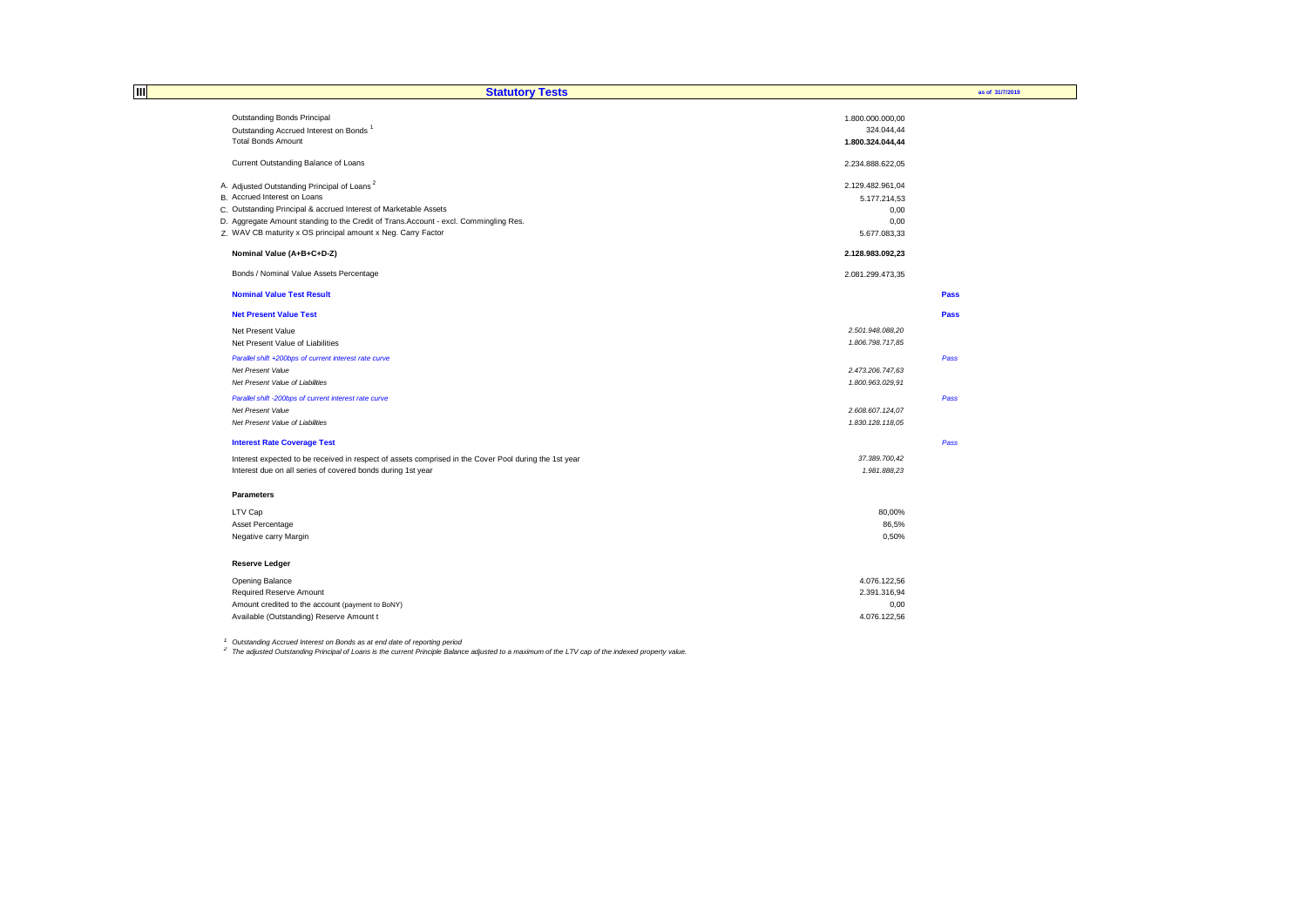| Ш | <b>Statutory Tests</b>                                                                                |                  | as of 31/7/2019 |
|---|-------------------------------------------------------------------------------------------------------|------------------|-----------------|
|   | Outstanding Bonds Principal                                                                           | 1.800.000.000,00 |                 |
|   | Outstanding Accrued Interest on Bonds <sup>1</sup>                                                    | 324.044,44       |                 |
|   | <b>Total Bonds Amount</b>                                                                             | 1.800.324.044,44 |                 |
|   | Current Outstanding Balance of Loans                                                                  | 2.234.888.622,05 |                 |
|   | A. Adjusted Outstanding Principal of Loans <sup>2</sup>                                               | 2.129.482.961,04 |                 |
|   | B. Accrued Interest on Loans                                                                          | 5.177.214,53     |                 |
|   | C. Outstanding Principal & accrued Interest of Marketable Assets                                      | 0,00             |                 |
|   | D. Aggregate Amount standing to the Credit of Trans.Account - excl. Commingling Res.                  | 0,00             |                 |
|   | Z. WAV CB maturity x OS principal amount x Neg. Carry Factor                                          | 5.677.083,33     |                 |
|   | Nominal Value (A+B+C+D-Z)                                                                             | 2.128.983.092,23 |                 |
|   | Bonds / Nominal Value Assets Percentage                                                               | 2.081.299.473,35 |                 |
|   | <b>Nominal Value Test Result</b>                                                                      |                  | Pass            |
|   | <b>Net Present Value Test</b>                                                                         |                  | Pass            |
|   | Net Present Value                                                                                     | 2.501.948.088,20 |                 |
|   | Net Present Value of Liabilities                                                                      | 1.806.798.717,85 |                 |
|   | Parallel shift +200bps of current interest rate curve                                                 |                  | Pass            |
|   | Net Present Value                                                                                     | 2.473.206.747,63 |                 |
|   | Net Present Value of Liabilities                                                                      | 1.800.963.029,91 |                 |
|   | Parallel shift -200bps of current interest rate curve                                                 |                  | Pass            |
|   | Net Present Value                                                                                     | 2.608.607.124,07 |                 |
|   | Net Present Value of Liabilities                                                                      | 1.830.128.118.05 |                 |
|   | <b>Interest Rate Coverage Test</b>                                                                    |                  | Pass            |
|   | Interest expected to be received in respect of assets comprised in the Cover Pool during the 1st year | 37.389.700,42    |                 |
|   | Interest due on all series of covered bonds during 1st year                                           | 1.981.888,23     |                 |
|   | <b>Parameters</b>                                                                                     |                  |                 |
|   | LTV Cap                                                                                               | 80,00%           |                 |
|   | Asset Percentage                                                                                      | 86,5%            |                 |
|   | Negative carry Margin                                                                                 | 0,50%            |                 |
|   | <b>Reserve Ledger</b>                                                                                 |                  |                 |
|   | Opening Balance                                                                                       | 4.076.122,56     |                 |
|   | Required Reserve Amount                                                                               | 2.391.316,94     |                 |
|   | Amount credited to the account (payment to BoNY)                                                      | 0,00             |                 |
|   | Available (Outstanding) Reserve Amount t                                                              | 4.076.122,56     |                 |

<sup>1</sup> Outstanding Accrued Interest on Bonds as at end date of reporting period<br><sup>2</sup> The adjusted Outstanding Principal of Loans is the current Principle Balance adjusted to a maximum of the LTV cap of the indexed property val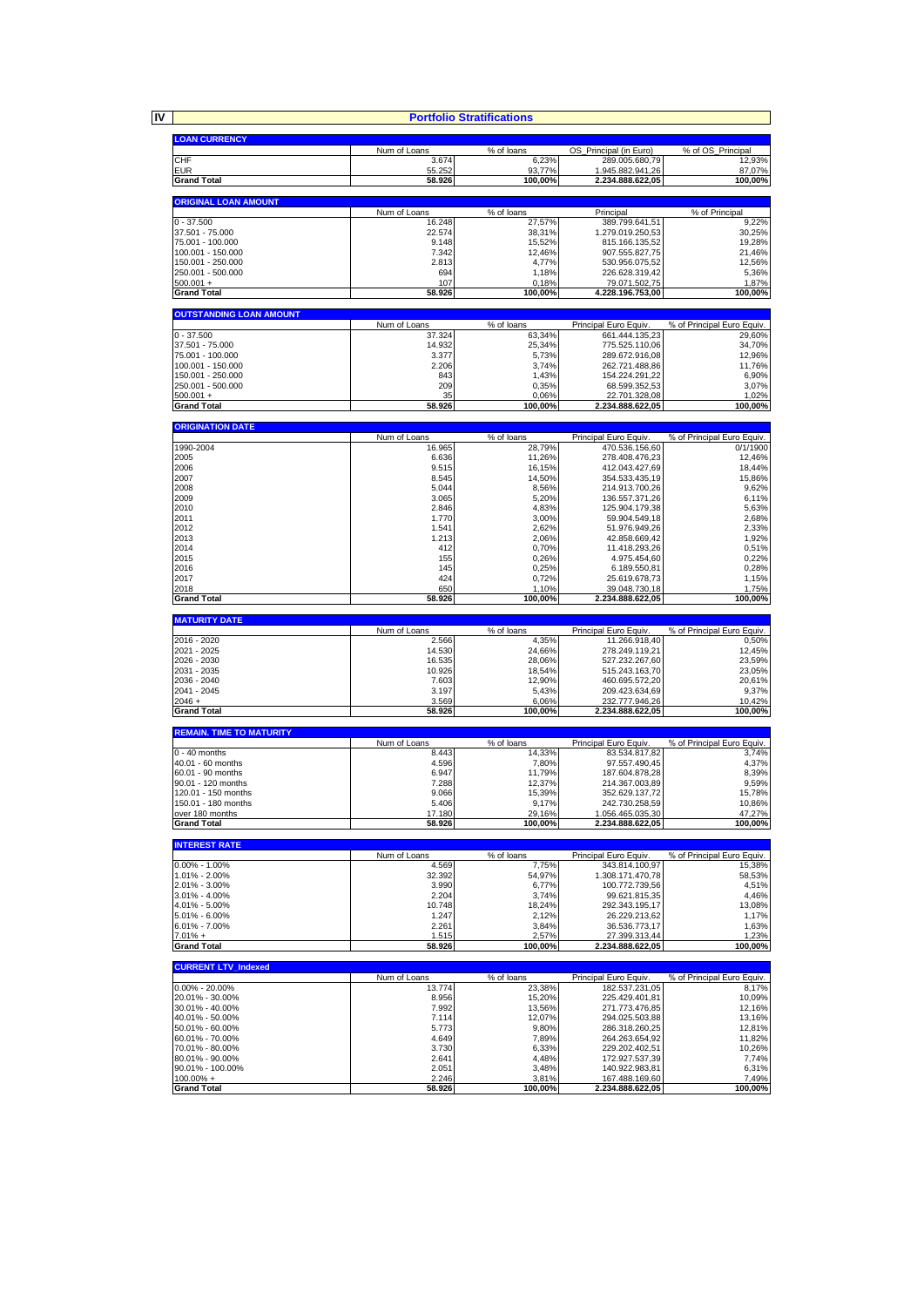**IV**

|                                        | <b>Portfolio Stratifications</b> |                                    |                                         |                                                     |
|----------------------------------------|----------------------------------|------------------------------------|-----------------------------------------|-----------------------------------------------------|
| <b>LOAN CURRENCY</b>                   |                                  |                                    |                                         |                                                     |
|                                        | Num of Loans                     | % of loans                         | OS_Principal (in Euro)                  | % of OS_Principal                                   |
| CHF<br><b>EUR</b>                      | 3.674<br>55.252                  | 6,23%<br>93,77%                    | 289.005.680,79<br>1.945.882.941,26      | 12,93%<br>87,07%                                    |
| <b>Grand Total</b>                     | 58.926                           | 100,00%                            | 2.234.888.622,05                        | 100,00%                                             |
| <b>ORIGINAL LOAN AMOUNT</b>            |                                  |                                    |                                         |                                                     |
|                                        | Num of Loans                     | % of loans                         | Principal                               | % of Principal                                      |
| $0 - 37.500$                           | 16.248                           | 27,57%                             | 389.799.641,51                          | 9,22%                                               |
| 37.501 - 75.000<br>75.001 - 100.000    | 22.574<br>9.148                  | 38,31%<br>15,52%                   | 1.279.019.250,53<br>815.166.135,52      | 30,25%<br>19,28%                                    |
| 100.001 - 150.000                      | 7.342                            | 12,46%                             | 907.555.827,75                          | 21,46%                                              |
| 150.001 - 250.000<br>250.001 - 500.000 | 2.813<br>694                     | 4,77%<br>1,18%                     | 530.956.075,52<br>226.628.319,42        | 12,56%<br>5,36%                                     |
| $500.001 +$                            | 107                              | 0,18%                              | 79.071.502,75                           | 1,87%                                               |
| <b>Grand Total</b>                     | 58.926                           | 100.00%                            | 4.228.196.753.00                        | 100,00%                                             |
| <b>OUTSTANDING LOAN AMOUNT</b>         |                                  |                                    |                                         |                                                     |
|                                        | Num of Loans                     | % of loans                         | Principal Euro Equiv                    | % of Principal Euro Equiv.                          |
| $0 - 37.500$<br>37.501 - 75.000        | 37.324<br>14.932                 | 63,34%<br>25,34%                   | 661.444.135,23<br>775.525.110,06        | 29,60%<br>34,70%                                    |
| 75.001 - 100.000                       | 3.377                            | 5,73%                              | 289.672.916,08                          | 12,96%                                              |
| 100.001 - 150.000<br>150.001 - 250.000 | 2.206<br>843                     | 3,74%                              | 262.721.488,86                          | 11,76%                                              |
| 250.001 - 500.000                      | 209                              | 1,43%<br>0,35%                     | 154.224.291,22<br>68.599.352,53         | 6,90%<br>3,07%                                      |
| $500.001 +$                            | 35                               | 0,06%                              | 22.701.328,08                           | 1,02%                                               |
| <b>Grand Total</b>                     | 58.926                           | 100,00%                            | 2.234.888.622,05                        | 100,00%                                             |
| <b>ORIGINATION DATE</b>                |                                  |                                    |                                         |                                                     |
| 1990-2004                              | Num of Loans<br>16.965           | $\overline{\%}$ of loans<br>28,79% | Principal Euro Equiv.<br>470.536.156,60 | % of Principal Euro Equiv.<br>$\overline{0}/1/1900$ |
| 2005                                   | 6.636                            | 11,26%                             | 278.408.476,23                          | 12,46%                                              |
| 2006                                   | 9.515                            | 16,15%                             | 412.043.427,69                          | 18,44%                                              |
| 2007<br>2008                           | 8.545<br>5.044                   | 14,50%<br>8,56%                    | 354.533.435,19<br>214.913.700,26        | 15,86%<br>9,62%                                     |
| 2009                                   | 3.065                            | 5,20%                              | 136.557.371,26                          | 6,11%                                               |
| 2010                                   | 2.846                            | 4,83%                              | 125.904.179,38                          | 5,63%                                               |
| 2011<br>2012                           | 1.770<br>1.541                   | 3,00%<br>2,62%                     | 59.904.549,18<br>51.976.949,26          | 2,68%<br>2,33%                                      |
| 2013                                   | 1.213                            | 2,06%                              | 42.858.669,42                           | 1,92%                                               |
| 2014                                   | 412                              | 0,70%                              | 11.418.293,26                           | 0,51%                                               |
| 2015<br>2016                           | 155<br>145                       | 0,26%<br>0,25%                     | 4.975.454,60<br>6.189.550,81            | 0,22%<br>0,28%                                      |
| 2017                                   | 424                              | 0,72%                              | 25.619.678,73                           | 1,15%                                               |
| 2018<br><b>Grand Total</b>             | 650                              | 1,10%                              | 39.048.730,18                           | 1,75%                                               |
|                                        |                                  |                                    |                                         |                                                     |
|                                        | 58.926                           | 100,00%                            | 2.234.888.622,05                        | 100,00%                                             |
| <b>MATURITY DATE</b>                   |                                  |                                    |                                         |                                                     |
| 2016 - 2020                            | Num of Loans<br>2.566            | % of loans<br>4,35%                | Principal Euro Equiv.<br>11.266.918,40  | % of Principal Euro Equiv.<br>0,50%                 |
| 2021 - 2025                            | 14.530                           | 24,66%                             | 278.249.119,21                          | 12,45%                                              |
| 2026 - 2030<br>2031 - 2035             | 16.535<br>10.926                 | 28,06%<br>18,54%                   | 527.232.267,60<br>515.243.163,70        | 23,59%                                              |
| 2036 - 2040                            | 7.603                            | 12,90%                             | 460.695.572,20                          | 23,05%<br>20,61%                                    |
| 2041 - 2045                            | 3.197                            | 5,43%                              | 209.423.634,69                          | 9,37%                                               |
| $2046 +$<br><b>Grand Total</b>         | 3.569<br>58.926                  | 6,06%<br>100,00%                   | 232.777.946,26<br>2.234.888.622,05      | 10,42%<br>100,00%                                   |
|                                        |                                  |                                    |                                         |                                                     |
| <b>REMAIN. TIME TO MATURITY</b>        | Num of Loans                     | % of loans                         | Principal Euro Equiv.                   | % of Principal Euro Equiv.                          |
| 0 - 40 months                          | 8.443                            | 14,33%                             | 83.534.817,82                           | 3,74%                                               |
| 40.01 - 60 months<br>60.01 - 90 months | 4.596<br>6.947                   | 7,80%                              | 97.557.490.45<br>187.604.878,28         | 4,37%                                               |
| 90.01 - 120 months                     | 7.288                            | 11,79%<br>12,37%                   | 214.367.003,89                          | 8,39%<br>9,59%                                      |
| 120.01 - 150 months                    | 9.066                            | 15,39%                             | 352.629.137,72                          | 15,78%                                              |
| 150.01 - 180 months<br>over 180 months | 5.406<br>17.180                  | 9,17%<br>29,16%                    | 242.730.258,59<br>1.056.465.035,30      | 10,86%<br>47,27%                                    |
| <b>Grand Total</b>                     | 58.926                           | 100,00%                            | 2.234.888.622,05                        | 100,00%                                             |
|                                        |                                  |                                    |                                         |                                                     |
| <b>INTEREST RATE</b>                   | Num of Loans                     | % of loans                         | Principal Euro Equiv                    | % of Principal Euro Equiv.                          |
| $0.00\% - 1.00\%$                      | 4.569                            | 7,75%                              | 343.814.100,97                          | 15.38%                                              |
| 1.01% - 2.00%<br>2.01% - 3.00%         | 32.392<br>3.990                  | 54,97%<br>6,77%                    | 1.308.171.470.78<br>100.772.739,56      | 58,53%<br>4,51%                                     |
| 3.01% - 4.00%                          | 2.204                            | 3,74%                              | 99.621.815,35                           | 4,46%                                               |
| 4.01% - 5.00%                          | 10.748                           | 18,24%                             | 292.343.195,17                          | 13,08%                                              |
| 5.01% - 6.00%<br>6.01% - 7.00%         | 1.247<br>2.261                   | 2,12%<br>3,84%                     | 26.229.213,62<br>36.536.773,17          | 1,17%<br>1,63%                                      |
| $7.01% +$                              | 1.515                            | 2,57%                              | 27.399.313.44                           | 1,23%                                               |
| <b>Grand Total</b>                     | 58.926                           | 100,00%                            | 2.234.888.622,05                        | 100,00%                                             |
| <b>CURRENT LTV Indexed</b>             |                                  |                                    |                                         |                                                     |
| $0.00\% - 20.00\%$                     | Num of Loans<br>13.774           | % of loans<br>23,38%               | Principal Euro Equiv.<br>182.537.231,05 | % of Principal Euro Equiv.                          |
| 20.01% - 30.00%                        | 8.956                            | 15,20%                             | 225.429.401,81                          |                                                     |
| 30.01% - 40.00%                        | 7.992                            | 13,56%                             | 271.773.476,85                          | 12,16%                                              |
| 40.01% - 50.00%<br>50.01% - 60.00%     | 7.114<br>5.773                   | 12,07%<br>9,80%                    | 294.025.503,88<br>286.318.260,25        | 13,16%<br>12,81%                                    |
| 60.01% - 70.00%                        | 4.649                            | 7,89%                              | 264.263.654,92                          | 11,82%                                              |
| 70.01% - 80.00%<br>80.01% - 90.00%     | 3.730<br>2.641                   | 6,33%<br>4,48%                     | 229.202.402,51<br>172.927.537,39        | 10,26%<br>7,74%                                     |
| 90.01% - 100.00%<br>$100.00\% +$       | 2.051<br>2.246                   | 3,48%<br>3,81%                     | 140.922.983,81<br>167.488.169,60        | 8,17%<br>10,09%<br>6,31%<br>7,49%                   |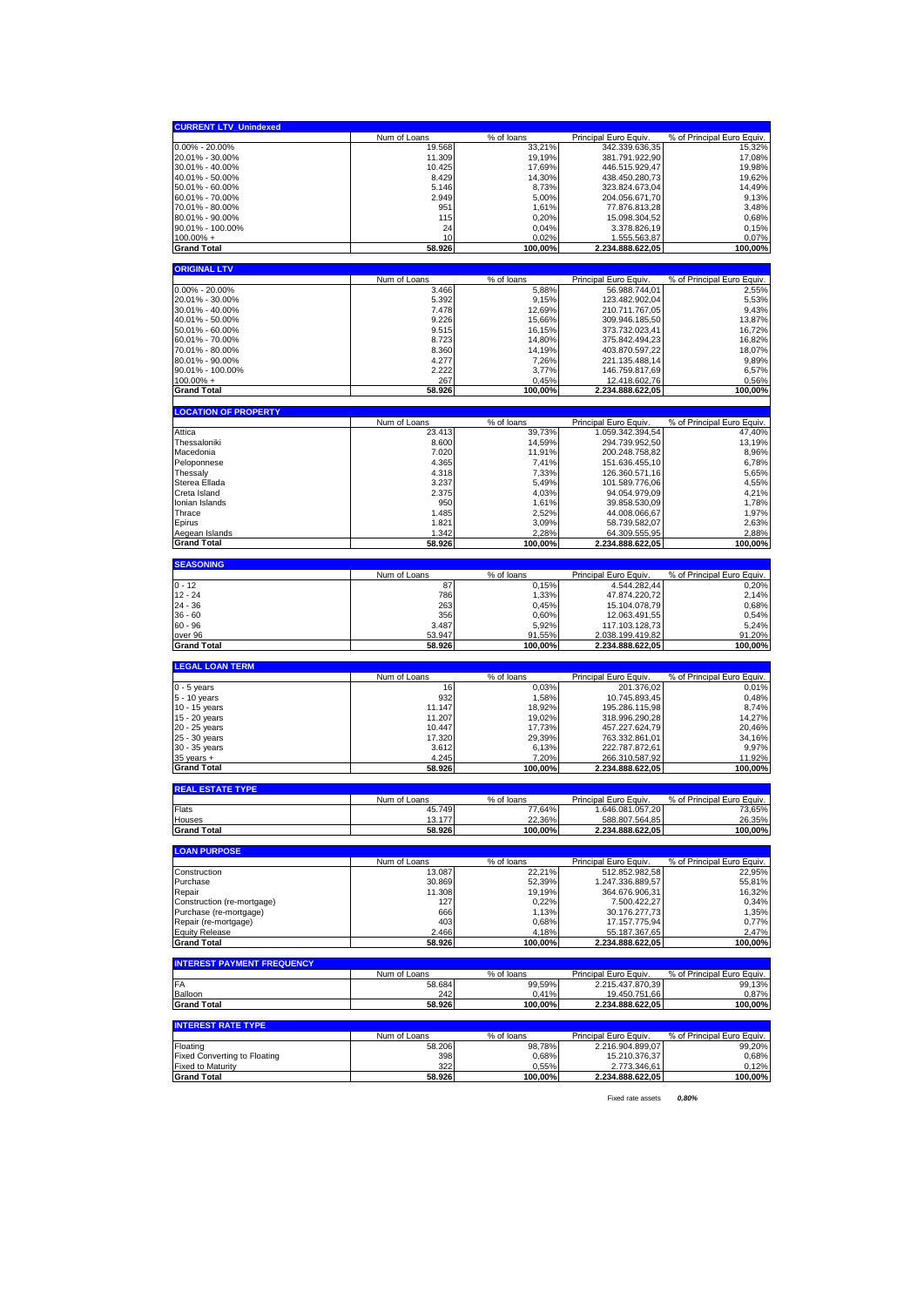| <b>CURRENT LTV_Unindexed</b>                    |                    |                          |                                       |                                     |
|-------------------------------------------------|--------------------|--------------------------|---------------------------------------|-------------------------------------|
|                                                 | Num of Loans       | % of loans               | Principal Euro Equiv                  | % of Principal Euro Equiv.          |
| $0.00\% - 20.00\%$                              | 19.568             | 33,21%                   | 342.339.636,35                        | 15,32%                              |
| 20.01% - 30.00%<br>30.01% - 40.00%              | 11.309<br>10.425   | 19,19%<br>17,69%         | 381.791.922,90<br>446.515.929,47      | 17,08%<br>19,98%                    |
| 40.01% - 50.00%                                 | 8.429              | 14,30%                   | 438.450.280,73                        | 19,62%                              |
| 50.01% - 60.00%                                 | 5.146              | 8,73%                    | 323.824.673,04                        | 14,49%                              |
| 60.01% - 70.00%                                 | 2.949              | 5,00%                    | 204.056.671.70                        | 9,13%                               |
| 70.01% - 80.00%<br>80.01% - 90.00%              | 951<br>115         | 1,61%<br>0,20%           | 77.876.813,28<br>15.098.304,52        | 3,48%<br>0,68%                      |
| 90.01% - 100.00%                                | 24                 | 0,04%                    | 3.378.826,19                          | 0,15%                               |
| $100.00\% +$                                    | 10                 | 0,02%                    | 1.555.563,87                          | 0,07%                               |
| <b>Grand Total</b>                              | 58.926             | 100,00%                  | 2.234.888.622,05                      | 100,00%                             |
| <b>ORIGINAL LTV</b>                             |                    |                          |                                       |                                     |
|                                                 | Num of Loans       | % of loans               | Principal Euro Equiv.                 | % of Principal Euro Equiv.          |
| 0.00% - 20.00%                                  | 3.466              | 5,88%                    | 56.988.744,01                         | 2,55%                               |
| 20.01% - 30.00%<br>30.01% - 40.00%              | 5.392<br>7.478     | 9,15%<br>12,69%          | 123.482.902,04<br>210.711.767,05      | 5,53%<br>9,43%                      |
| 40.01% - 50.00%                                 | 9.226              | 15,66%                   | 309.946.185,50                        | 13,87%                              |
| 50.01% - 60.00%                                 | 9.515              | 16,15%                   | 373.732.023,41                        | 16,72%                              |
| 60.01% - 70.00%                                 | 8.723              | 14,80%                   | 375.842.494,23                        | 16,82%                              |
| 70.01% - 80.00%                                 | 8.360              | 14,19%                   | 403.870.597,22                        | 18,07%                              |
| 80.01% - 90.00%<br>90.01% - 100.00%             | 4.277<br>2.222     | 7,26%<br>3,77%           | 221.135.488,14<br>146.759.817,69      | 9,89%<br>6,57%                      |
| $100.00% +$                                     | 267                | 0,45%                    | 12.418.602,76                         | 0,56%                               |
| <b>Grand Total</b>                              | 58.926             | 100,00%                  | 2.234.888.622,05                      | 100,00%                             |
|                                                 |                    |                          |                                       |                                     |
| <b>LOCATION OF PROPERTY</b>                     | Num of Loans       | % of loans               | Principal Euro Equiv.                 | % of Principal Euro Equiv.          |
| Attica                                          | 23.413             | 39,73%                   | 1.059.342.394,54                      | 47,40%                              |
| Thessaloniki                                    | 8.600              | 14,59%                   | 294.739.952,50                        | 13,19%                              |
| Macedonia                                       | 7.020              | 11,91%                   | 200.248.758,82                        | 8,96%                               |
| Peloponnese<br>Thessaly                         | 4.365<br>4.318     | 7,41%<br>7,33%           | 151.636.455,10<br>126.360.571,16      | 6,78%<br>5,65%                      |
| Sterea Ellada                                   | 3.237              | 5,49%                    | 101.589.776,06                        | 4,55%                               |
| Creta Island                                    | 2.375              | 4,03%                    | 94.054.979,09                         | 4,21%                               |
| Ionian Islands                                  | 950                | 1,61%                    | 39.858.530,09                         | 1,78%                               |
| Thrace                                          | 1.485              | 2,52%                    | 44.008.066,67                         | 1,97%                               |
| Epirus                                          | 1.821              | 3,09%                    | 58.739.582,07                         | 2,63%                               |
| Aegean Islands<br><b>Grand Total</b>            | 1.342<br>58.926    | 2,28%<br>100,00%         | 64.309.555,95<br>2.234.888.622,05     | 2,88%<br>100,00%                    |
|                                                 |                    |                          |                                       |                                     |
| <b>SEASONING</b>                                |                    |                          |                                       |                                     |
| $0 - 12$                                        | Num of Loans<br>87 | % of loans<br>0,15%      | Principal Euro Equiv.<br>4.544.282,44 | % of Principal Euro Equiv.<br>0,20% |
| $12 - 24$                                       | 786                | 1,33%                    | 47.874.220,72                         | 2,14%                               |
| 24 - 36                                         | 263                | 0,45%                    | 15.104.078,79                         | 0,68%                               |
| $36 - 60$                                       | 356                | 0,60%                    | 12.063.491,55                         | 0,54%                               |
|                                                 |                    |                          |                                       |                                     |
| $60 - 96$                                       | 3.487              | 5,92%                    | 117.103.128,73                        | 5,24%                               |
| over 96<br><b>Grand Total</b>                   | 53.947<br>58.926   | 91,55%<br>100,00%        | 2.038.199.419,82<br>2.234.888.622,05  | 91,20%<br>100,00%                   |
|                                                 |                    |                          |                                       |                                     |
| <b>LEGAL LOAN TERM</b>                          |                    |                          |                                       |                                     |
| $0 - 5$ years                                   | Num of Loans<br>16 | % of loans<br>0,03%      | Principal Euro Equiv<br>201.376,02    | % of Principal Euro Equiv.<br>0,01% |
| 5 - 10 years                                    | 932                | 1,58%                    | 10.745.893,45                         | 0,48%                               |
| 10 - 15 years                                   | 11.147             | 18,92%                   | 195.286.115,98                        | 8,74%                               |
| 15 - 20 years                                   | 11.207             | 19,02%                   | 318.996.290,28                        | 14,27%                              |
| 20 - 25 years<br>25 - 30 years                  | 10.447<br>17.320   | 17,73%<br>29,39%         | 457.227.624,79<br>763.332.861,01      | 20,46%<br>34,16%                    |
| 30 - 35 years                                   | 3.612              | 6,13%                    | 222.787.872,61                        | 9,97%                               |
| $35$ years $+$                                  | 4.245              | 7,20%                    | 266.310.587,92                        | 11,92%                              |
| <b>Grand Total</b>                              | 58.926             | 100,00%                  | 2.234.888.622,05                      | 100,00%                             |
| <b>REAL ESTATE TYPE</b>                         |                    |                          |                                       |                                     |
|                                                 | Num of Loans       | % of loans               | Principal Euro Equiv                  | % of Principal Euro Equiv.          |
| Flats<br>Houses                                 | 45.749<br>13.177   | 77,64%<br>22,36%         | 1.646.081.057,20<br>588.807.564,85    | 73,65%                              |
| <b>Grand Total</b>                              | 58.926             | 100.00%                  | 2.234.888.622,05                      | 26,35%<br>100,00%                   |
|                                                 |                    |                          |                                       |                                     |
| <b>LOAN PURPOSE</b>                             | Num of Loans       | % of loans               | Principal Euro Equiv.                 | % of Principal Euro Equiv.          |
| Construction                                    | 13.087             | 22,21%                   | 512.852.982,58                        | 22,95%                              |
| Purchase                                        | 30.869             | 52,39%                   | 1.247.336.889,57                      | 55,81%                              |
| Repair                                          | 11.308             | 19,19%                   | 364.676.906,31                        | 16,32%                              |
| Construction (re-mortgage)                      | 127                | 0,22%                    | 7.500.422,27                          | 0,34%                               |
| Purchase (re-mortgage)<br>Repair (re-mortgage)  | 666                | 1,13%                    | 30.176.277,73                         | 1,35%                               |
| <b>Equity Release</b>                           | 403<br>2.466       | 0,68%<br>4,18%           | 17.157.775,94<br>55.187.367,65        | 0,77%<br>2,47%                      |
| <b>Grand Total</b>                              | 58.926             | 100,00%                  | 2.234.888.622,05                      | 100,00%                             |
|                                                 |                    |                          |                                       |                                     |
| <b>INTEREST PAYMENT FREQUENCY</b>               | Num of Loans       | $\overline{\%}$ of loans | Principal Euro Equiv.                 | % of Principal Euro Equiv.          |
| FA                                              | 58.684             | 99,59%                   | 2.215.437.870,39                      | 99,13%                              |
| Balloon                                         | 242                | 0,41%                    | 19.450.751,66                         | 0,87%                               |
| <b>Grand Total</b>                              | 58.926             | 100,00%                  | 2.234.888.622,05                      | 100,00%                             |
| <b>INTEREST RATE TYPE</b>                       |                    |                          |                                       |                                     |
|                                                 | Num of Loans       | % of loans               | Principal Euro Equiv.                 | % of Principal Euro Equiv.          |
| Floating<br><b>Fixed Converting to Floating</b> | 58.206<br>398      | 98,78%<br>0,68%          | 2.216.904.899,07<br>15.210.376,37     | 99,20%<br>0,68%                     |
| <b>Fixed to Maturity</b><br><b>Grand Total</b>  | 322<br>58.926      | 0,55%<br>100,00%         | 2.773.346,61<br>2.234.888.622,05      | 0,12%<br>100,00%                    |

Fixed rate assets *0,80%*